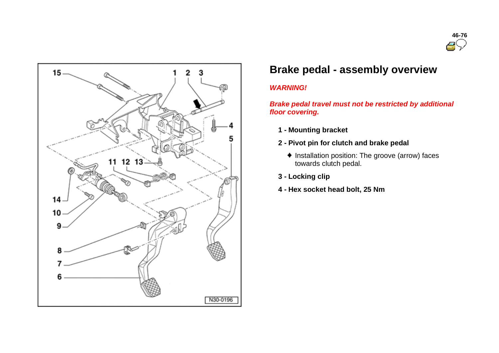



# **Brake pedal - assembly overview**

## *WARNING!*

*Brake pedal travel must not be restricted by additional floor covering.*

- **1 - Mounting bracket**
- **2 - Pivot pin for clutch and brake pedal**
	- $\bullet$  Installation position: The groove (arrow) faces towards clutch pedal.
- **3 - Locking clip**
- **4 - Hex socket head bolt, 25 Nm**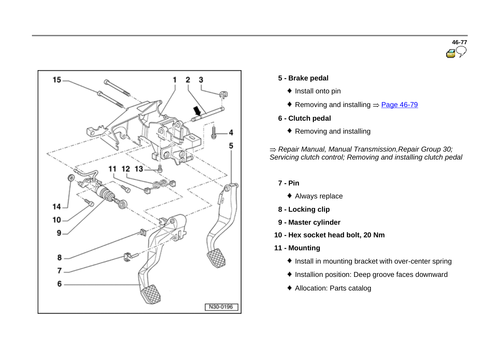



- **5 - Brake pedal**
	- $\bullet$  Install onto pin
	- Removing and installing  $\Rightarrow$  Page 46-79
- **6 - Clutch pedal**
	- ◆ Removing and installing

*Repair Manual, Manual Transmission,Repair Group 30; Servicing clutch control; Removing and installing clutch pedal*

- **7 - Pin**
	- Always replace
- **8 - Locking clip**
- **9 - Master cylinder**
- **10 - Hex socket head bolt, 20 Nm**
- **11 - Mounting**
	- $\bullet$  Install in mounting bracket with over-center spring
	- Installion position: Deep groove faces downward
	- Allocation: Parts catalog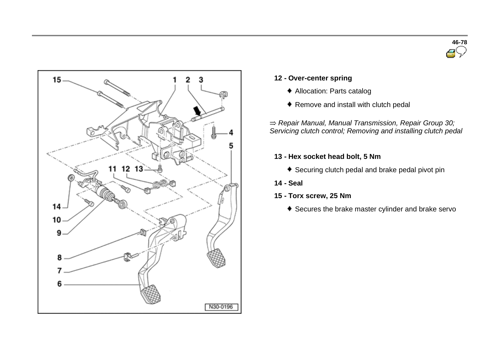



## **12 - Over-center spring**

- Allocation: Parts catalog
- ◆ Remove and install with clutch pedal

*Repair Manual, Manual Transmission, Repair Group 30; Servicing clutch control; Removing and installing clutch pedal*

## **13 - Hex socket head bolt, 5 Nm**

- Securing clutch pedal and brake pedal pivot pin
- **14 - Seal**
- **15 - Torx screw, 25 Nm**
	- Secures the brake master cylinder and brake servo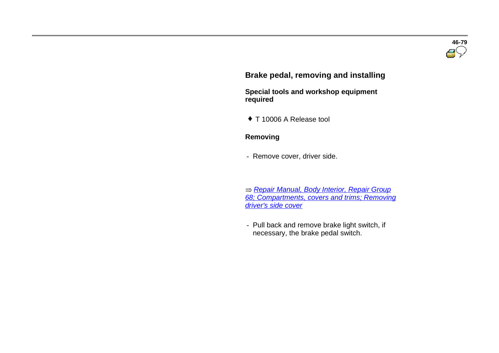# **Brake pedal, removing and installing**

 **Special tools and workshop equipment required** 

 $\bullet$  T 10006 A Release tool

#### **Removing**

- Remove cover, driver side.

 *Repair Manual, Body Interior, Repair Group 68; Compartments, covers and trims; Removing driver's side cover*

- Pull back and remove brake light switch, if necessary, the brake pedal switch.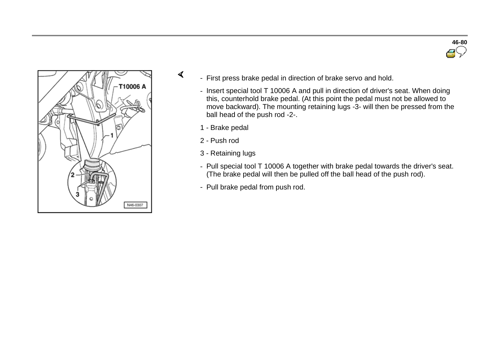



- First press brake pedal in direction of brake servo and hold.
	- Insert special tool T 10006 A and pull in direction of driver's seat. When doing this, counterhold brake pedal. (At this point the pedal must not be allowed to move backward). The mounting retaining lugs -3- will then be pressed from the ball head of the push rod -2-.
	- 1 Brake pedal
	- 2 Push rod

 $\prec$ 

- 3 Retaining lugs
- Pull special tool T 10006 A together with brake pedal towards the driver's seat. (The brake pedal will then be pulled off the ball head of the push rod).
- Pull brake pedal from push rod.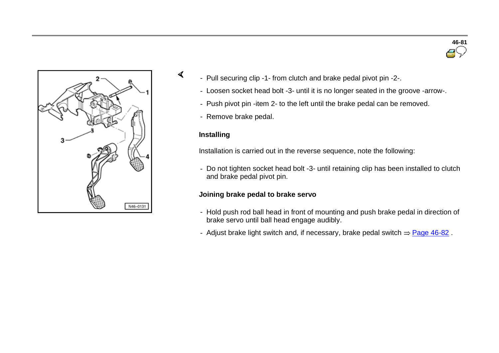



- Pull securing clip -1- from clutch and brake pedal pivot pin -2-.
	- Loosen socket head bolt -3- until it is no longer seated in the groove -arrow-.
	- Push pivot pin -item 2- to the left until the brake pedal can be removed.
	- Remove brake pedal.

## **Installing**

 $\sigma$ 

Installation is carried out in the reverse sequence, note the following:

- Do not tighten socket head bolt -3- until retaining clip has been installed to clutch and brake pedal pivot pin.

#### **Joining brake pedal to brake servo**

- Hold push rod ball head in front of mounting and push brake pedal in direction of brake servo until ball head engage audibly.
- Adjust brake light switch and, if necessary, brake pedal switch  $\Rightarrow$  Page 46-82.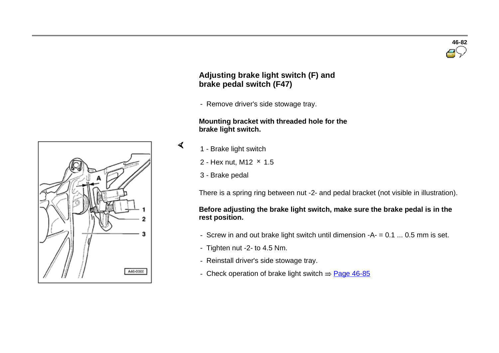## **Adjusting brake light switch (F) and brake pedal switch (F47)**

- Remove driver's side stowage tray.

#### **Mounting bracket with threaded hole for the brake light switch.**

1 - Brake light switch

 $\blacktriangleleft$ 

- 2 Hex nut, M12  $\times$  1.5
- 3 Brake pedal

There is a spring ring between nut -2- and pedal bracket (not visible in illustration).

## **Before adjusting the brake light switch, make sure the brake pedal is in the rest position.**

- Screw in and out brake light switch until dimension -A- = 0.1 ... 0.5 mm is set.
- Tighten nut -2- to 4.5 Nm.
- Reinstall driver's side stowage tray.
- Check operation of brake light switch  $\Rightarrow$  Page 46-85



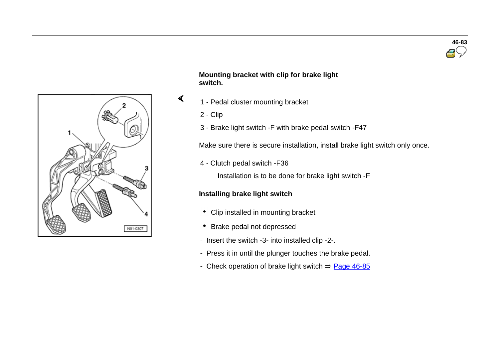



### **Mounting bracket with clip for brake light switch.**

- 1 Pedal cluster mounting bracket
	- 2 Clip

 $\sigma$ 

3 - Brake light switch -F with brake pedal switch -F47

Make sure there is secure installation, install brake light switch only once.

4 - Clutch pedal switch -F36

Installation is to be done for brake light switch -F

## **Installing brake light switch**

- Clip installed in mounting bracket
- Brake pedal not depressed
- Insert the switch -3- into installed clip -2-.
- Press it in until the plunger touches the brake pedal.
- Check operation of brake light switch  $\Rightarrow$  Page 46-85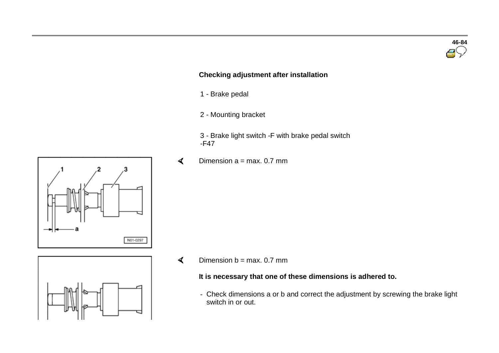# **Checking adjustment after installation**

- <sup>1</sup> Brake pedal
- <sup>2</sup> Mounting bracket
- <sup>3</sup> Brake light switch -F with brake pedal switch -F47
- Dimension  $a = max$ . 0.7 mm  $\blacktriangleleft$

- $\mathbf{I}$
- Dimension  $b = max. 0.7$  mm

## **It is necessary that one of these dimensions is adhered to.**

- Check dimensions a or b and correct the adjustment by screwing the brake light switch in or out.





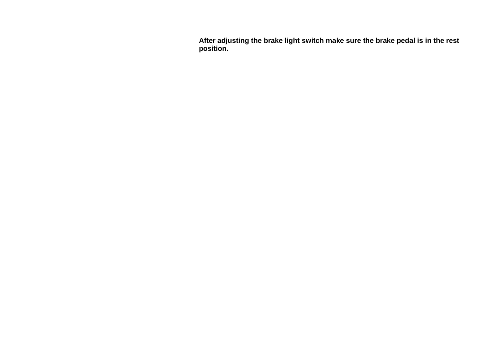After adjusting the brake light switch make sure the brake pedal is in the rest **p o s i t i on.**